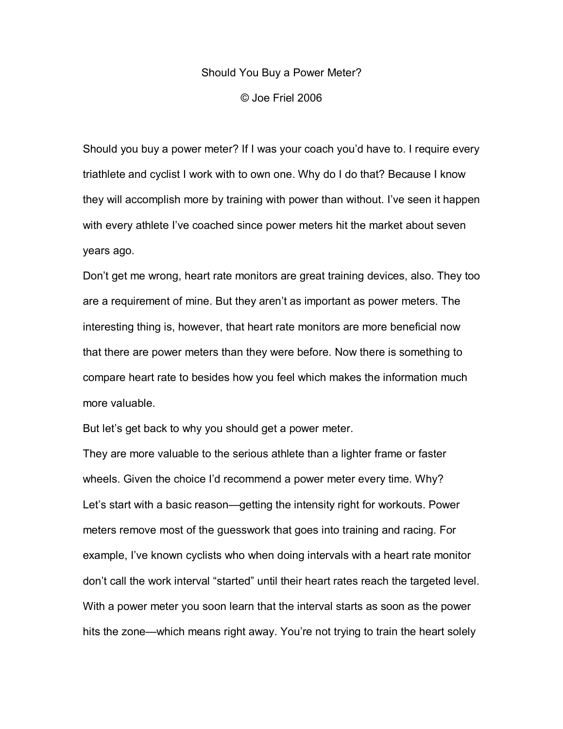## Should You Buy a Power Meter?

© Joe Friel 2006

Should you buy a power meter? If I was your coach you'd have to. I require every triathlete and cyclist I work with to own one. Why do I do that? Because I know they will accomplish more by training with power than without. I've seen it happen with every athlete I've coached since power meters hit the market about seven years ago.

Don't get me wrong, heart rate monitors are great training devices, also. They too are a requirement of mine. But they aren't as important as power meters. The interesting thing is, however, that heart rate monitors are more beneficial now that there are power meters than they were before. Now there is something to compare heart rate to besides how you feel which makes the information much more valuable.

But let's get back to why you should get a power meter.

They are more valuable to the serious athlete than a lighter frame or faster wheels. Given the choice I'd recommend a power meter every time. Why? Let's start with a basic reason—getting the intensity right for workouts. Power meters remove most of the guesswork that goes into training and racing. For example, I've known cyclists who when doing intervals with a heart rate monitor don't call the work interval "started" until their heart rates reach the targeted level. With a power meter you soon learn that the interval starts as soon as the power hits the zone—which means right away. You're not trying to train the heart solely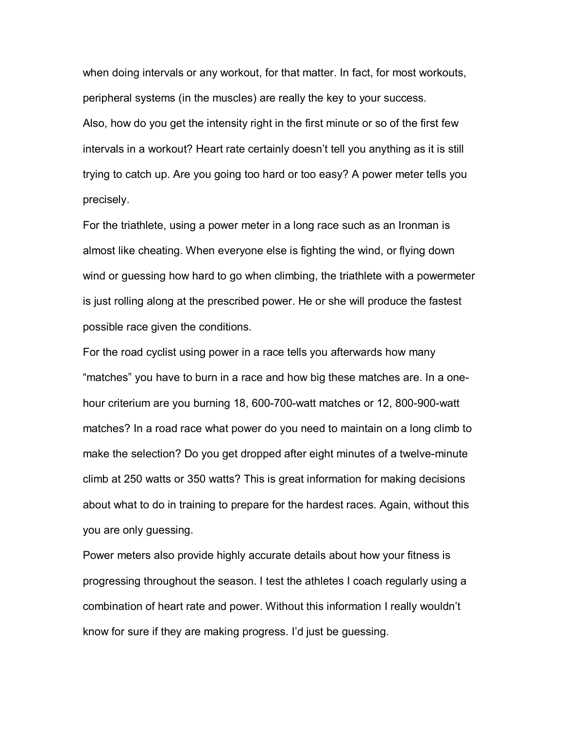when doing intervals or any workout, for that matter. In fact, for most workouts, peripheral systems (in the muscles) are really the key to your success. Also, how do you get the intensity right in the first minute or so of the first few intervals in a workout? Heart rate certainly doesn't tell you anything as it is still trying to catch up. Are you going too hard or too easy? A power meter tells you precisely.

For the triathlete, using a power meter in a long race such as an Ironman is almost like cheating. When everyone else is fighting the wind, or flying down wind or guessing how hard to go when climbing, the triathlete with a powermeter is just rolling along at the prescribed power. He or she will produce the fastest possible race given the conditions.

For the road cyclist using power in a race tells you afterwards how many "matches" you have to burn in a race and how big these matches are. In a onehour criterium are you burning 18, 600-700-watt matches or 12, 800-900-watt matches? In a road race what power do you need to maintain on a long climb to make the selection? Do you get dropped after eight minutes of a twelve-minute climb at 250 watts or 350 watts? This is great information for making decisions about what to do in training to prepare for the hardest races. Again, without this you are only guessing.

Power meters also provide highly accurate details about how your fitness is progressing throughout the season. I test the athletes I coach regularly using a combination of heart rate and power. Without this information I really wouldn't know for sure if they are making progress. I'd just be guessing.